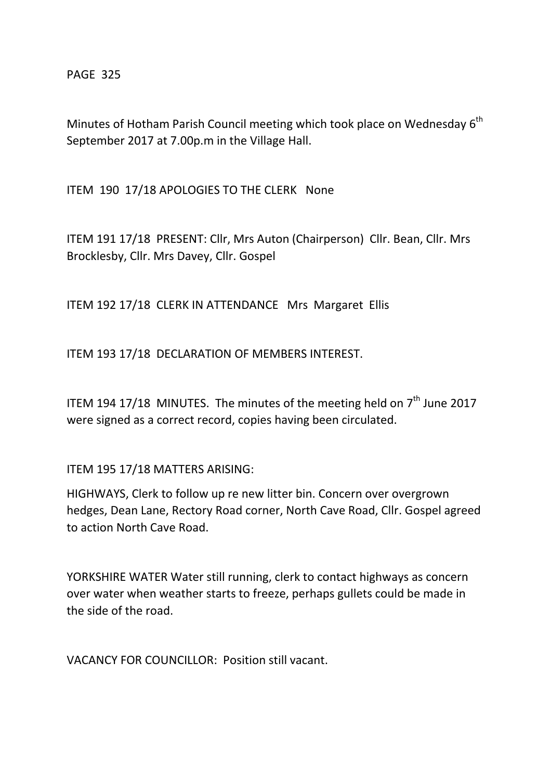PAGE 325

Minutes of Hotham Parish Council meeting which took place on Wednesday  $6<sup>th</sup>$ September 2017 at 7.00p.m in the Village Hall.

ITEM 190 17/18 APOLOGIES TO THE CLERK None

ITEM 191 17/18 PRESENT: Cllr, Mrs Auton (Chairperson) Cllr. Bean, Cllr. Mrs Brocklesby, Cllr. Mrs Davey, Cllr. Gospel

ITEM 192 17/18 CLERK IN ATTENDANCE Mrs Margaret Ellis

ITEM 193 17/18 DECLARATION OF MEMBERS INTEREST.

ITEM 194 17/18 MINUTES. The minutes of the meeting held on  $7<sup>th</sup>$  June 2017 were signed as a correct record, copies having been circulated.

ITEM 195 17/18 MATTERS ARISING:

HIGHWAYS, Clerk to follow up re new litter bin. Concern over overgrown hedges, Dean Lane, Rectory Road corner, North Cave Road, Cllr. Gospel agreed to action North Cave Road.

YORKSHIRE WATER Water still running, clerk to contact highways as concern over water when weather starts to freeze, perhaps gullets could be made in the side of the road.

VACANCY FOR COUNCILLOR: Position still vacant.